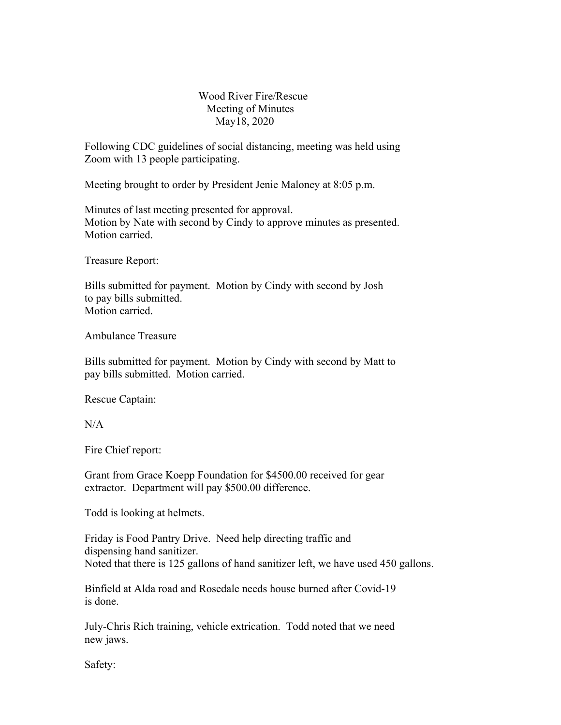## Wood River Fire/Rescue Meeting of Minutes May18, 2020

Following CDC guidelines of social distancing, meeting was held using Zoom with 13 people participating.

Meeting brought to order by President Jenie Maloney at 8:05 p.m.

Minutes of last meeting presented for approval. Motion by Nate with second by Cindy to approve minutes as presented. Motion carried.

Treasure Report:

Bills submitted for payment. Motion by Cindy with second by Josh to pay bills submitted. Motion carried.

Ambulance Treasure

Bills submitted for payment. Motion by Cindy with second by Matt to pay bills submitted. Motion carried.

Rescue Captain:

 $N/A$ 

Fire Chief report:

Grant from Grace Koepp Foundation for \$4500.00 received for gear extractor. Department will pay \$500.00 difference.

Todd is looking at helmets.

Friday is Food Pantry Drive. Need help directing traffic and dispensing hand sanitizer. Noted that there is 125 gallons of hand sanitizer left, we have used 450 gallons.

Binfield at Alda road and Rosedale needs house burned after Covid-19 is done.

July-Chris Rich training, vehicle extrication. Todd noted that we need new jaws.

Safety: